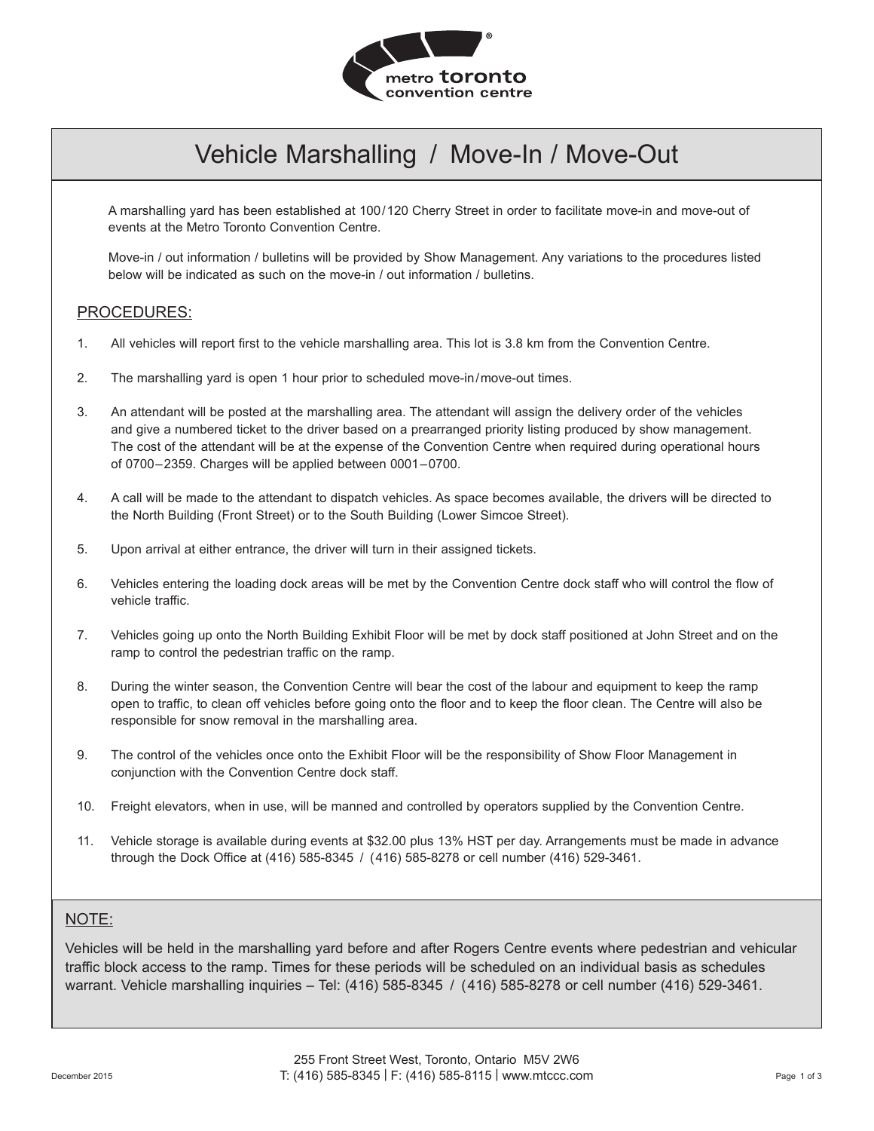

# Vehicle Marshalling / Move-In / Move-Out

A marshalling yard has been established at 100/120 Cherry Street in order to facilitate move-in and move-out of events at the Metro Toronto Convention Centre.

Move-in / out information / bulletins will be provided by Show Management. Any variations to the procedures listed below will be indicated as such on the move-in / out information / bulletins.

### PROCEDURES:

- 1. All vehicles will report first to the vehicle marshalling area. This lot is 3.8 km from the Convention Centre.
- 2. The marshalling yard is open 1 hour prior to scheduled move-in/move-out times.
- 3. An attendant will be posted at the marshalling area. The attendant will assign the delivery order of the vehicles and give a numbered ticket to the driver based on a prearranged priority listing produced by show management. The cost of the attendant will be at the expense of the Convention Centre when required during operational hours of 0700–2359. Charges will be applied between 0001–0700.
- 4. A call will be made to the attendant to dispatch vehicles. As space becomes available, the drivers will be directed to the North Building (Front Street) or to the South Building (Lower Simcoe Street).
- 5. Upon arrival at either entrance, the driver will turn in their assigned tickets.
- 6. Vehicles entering the loading dock areas will be met by the Convention Centre dock staff who will control the flow of vehicle traffic.
- 7. Vehicles going up onto the North Building Exhibit Floor will be met by dock staff positioned at John Street and on the ramp to control the pedestrian traffic on the ramp.
- 8. During the winter season, the Convention Centre will bear the cost of the labour and equipment to keep the ramp open to traffic, to clean off vehicles before going onto the floor and to keep the floor clean. The Centre will also be responsible for snow removal in the marshalling area.
- 9. The control of the vehicles once onto the Exhibit Floor will be the responsibility of Show Floor Management in conjunction with the Convention Centre dock staff.
- 10. Freight elevators, when in use, will be manned and controlled by operators supplied by the Convention Centre.
- 11. Vehicle storage is available during events at \$32.00 plus 13% HST per day. Arrangements must be made in advance through the Dock Office at (416) 585-8345 / (416) 585-8278 or cell number (416) 529-3461.

## NOTE:

Vehicles will be held in the marshalling yard before and after Rogers Centre events where pedestrian and vehicular traffic block access to the ramp. Times for these periods will be scheduled on an individual basis as schedules warrant. Vehicle marshalling inquiries – Tel: (416) 585-8345 / (416) 585-8278 or cell number (416) 529-3461.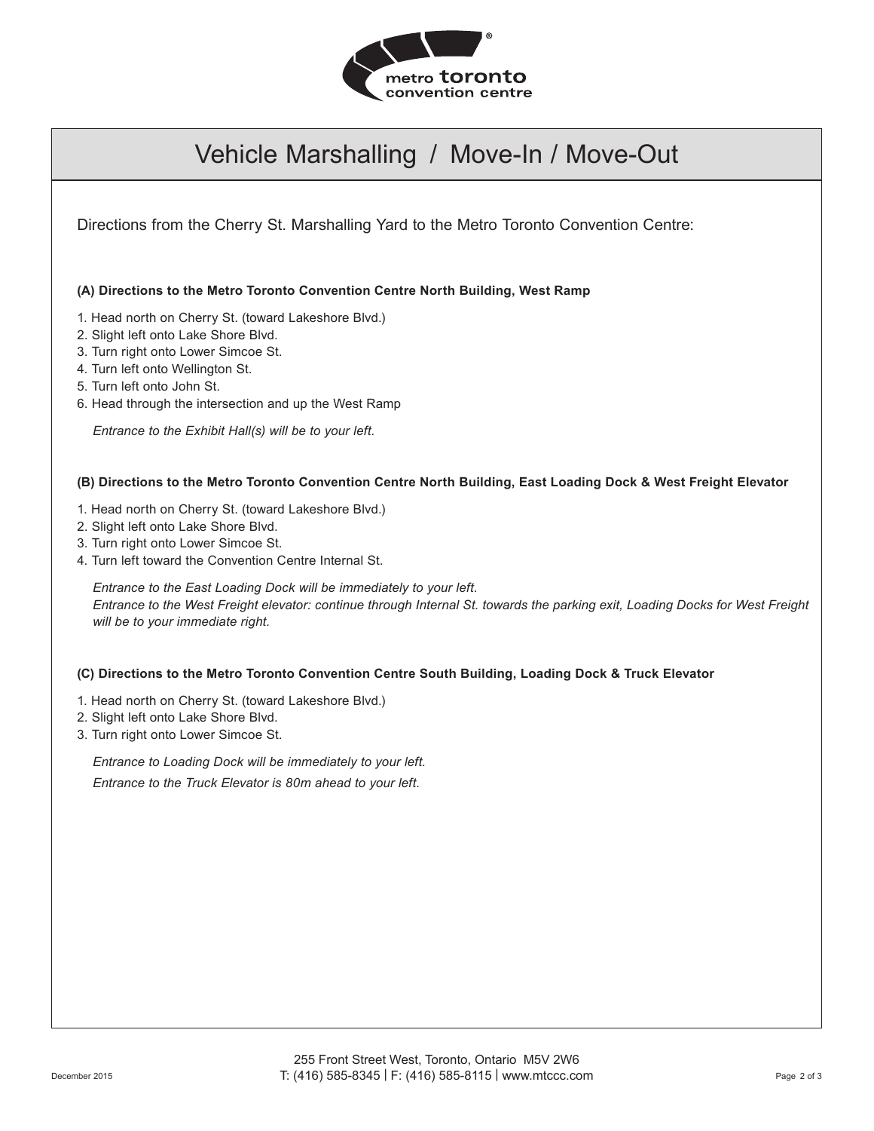

## Vehicle Marshalling / Move-In / Move-Out

Directions from the Cherry St. Marshalling Yard to the Metro Toronto Convention Centre:

**(A) Directions to the Metro Toronto Convention Centre North Building, West Ramp**

- 1. Head north on Cherry St. (toward Lakeshore Blvd.)
- 2. Slight left onto Lake Shore Blvd.
- 3. Turn right onto Lower Simcoe St.
- 4. Turn left onto Wellington St.
- 5. Turn left onto John St.
- 6. Head through the intersection and up the West Ramp

*Entrance to the Exhibit Hall(s) will be to your left.*

**(B) Directions to the Metro Toronto Convention Centre North Building, East Loading Dock & West Freight Elevator**

- 1. Head north on Cherry St. (toward Lakeshore Blvd.)
- 2. Slight left onto Lake Shore Blvd.
- 3. Turn right onto Lower Simcoe St.
- 4. Turn left toward the Convention Centre Internal St.

*Entrance to the East Loading Dock will be immediately to your left. Entrance to the West Freight elevator: continue through Internal St. towards the parking exit, Loading Docks for West Freight will be to your immediate right.*

**(C) Directions to the Metro Toronto Convention Centre South Building, Loading Dock & Truck Elevator**

1. Head north on Cherry St. (toward Lakeshore Blvd.)

- 2. Slight left onto Lake Shore Blvd.
- 3. Turn right onto Lower Simcoe St.

*Entrance to Loading Dock will be immediately to your left. Entrance to the Truck Elevator is 80m ahead to your left.*